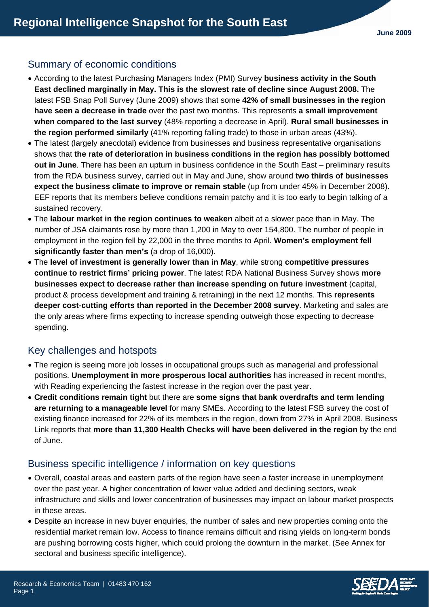# Summary of economic conditions

- According to the latest Purchasing Managers Index (PMI) Survey **business activity in the South East declined marginally in May. This is the slowest rate of decline since August 2008.** The latest FSB Snap Poll Survey (June 2009) shows that some **42% of small businesses in the region have seen a decrease in trade** over the past two months. This represents **a small improvement when compared to the last survey** (48% reporting a decrease in April). **Rural small businesses in the region performed similarly** (41% reporting falling trade) to those in urban areas (43%).
- The latest (largely anecdotal) evidence from businesses and business representative organisations shows that **the rate of deterioration in business conditions in the region has possibly bottomed out in June**. There has been an upturn in business confidence in the South East – preliminary results from the RDA business survey, carried out in May and June, show around **two thirds of businesses expect the business climate to improve or remain stable** (up from under 45% in December 2008). EEF reports that its members believe conditions remain patchy and it is too early to begin talking of a sustained recovery.
- The **labour market in the region continues to weaken** albeit at a slower pace than in May. The number of JSA claimants rose by more than 1,200 in May to over 154,800. The number of people in employment in the region fell by 22,000 in the three months to April. **Women's employment fell significantly faster than men's** (a drop of 16,000).
- The **level of investment is generally lower than in May**, while strong **competitive pressures continue to restrict firms' pricing power**. The latest RDA National Business Survey shows **more businesses expect to decrease rather than increase spending on future investment** (capital, product & process development and training & retraining) in the next 12 months. This **represents deeper cost-cutting efforts than reported in the December 2008 survey**. Marketing and sales are the only areas where firms expecting to increase spending outweigh those expecting to decrease spending.

# Key challenges and hotspots

- The region is seeing more job losses in occupational groups such as managerial and professional positions. **Unemployment in more prosperous local authorities** has increased in recent months, with Reading experiencing the fastest increase in the region over the past year.
- **Credit conditions remain tight** but there are **some signs that bank overdrafts and term lending are returning to a manageable level** for many SMEs. According to the latest FSB survey the cost of existing finance increased for 22% of its members in the region, down from 27% in April 2008. Business Link reports that **more than 11,300 Health Checks will have been delivered in the region** by the end of June.

# Business specific intelligence / information on key questions

- Overall, coastal areas and eastern parts of the region have seen a faster increase in unemployment over the past year. A higher concentration of lower value added and declining sectors, weak infrastructure and skills and lower concentration of businesses may impact on labour market prospects in these areas.
- Despite an increase in new buyer enquiries, the number of sales and new properties coming onto the residential market remain low. Access to finance remains difficult and rising yields on long-term bonds are pushing borrowing costs higher, which could prolong the downturn in the market. (See Annex for sectoral and business specific intelligence).

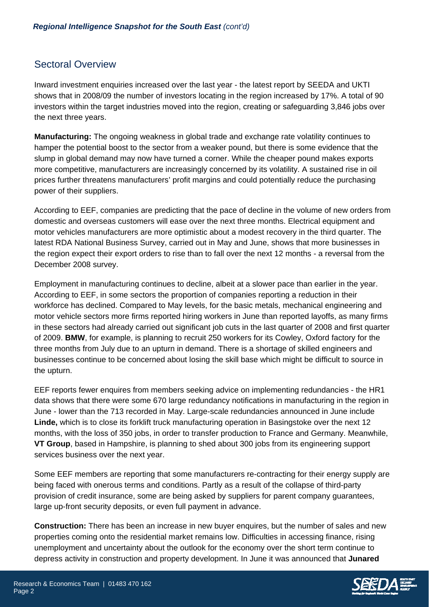### Sectoral Overview

Inward investment enquiries increased over the last year - the latest report by SEEDA and UKTI shows that in 2008/09 the number of investors locating in the region increased by 17%. A total of 90 investors within the target industries moved into the region, creating or safeguarding 3,846 jobs over the next three years.

**Manufacturing:** The ongoing weakness in global trade and exchange rate volatility continues to hamper the potential boost to the sector from a weaker pound, but there is some evidence that the slump in global demand may now have turned a corner. While the cheaper pound makes exports more competitive, manufacturers are increasingly concerned by its volatility. A sustained rise in oil prices further threatens manufacturers' profit margins and could potentially reduce the purchasing power of their suppliers.

According to EEF, companies are predicting that the pace of decline in the volume of new orders from domestic and overseas customers will ease over the next three months. Electrical equipment and motor vehicles manufacturers are more optimistic about a modest recovery in the third quarter. The latest RDA National Business Survey, carried out in May and June, shows that more businesses in the region expect their export orders to rise than to fall over the next 12 months - a reversal from the December 2008 survey.

Employment in manufacturing continues to decline, albeit at a slower pace than earlier in the year. According to EEF, in some sectors the proportion of companies reporting a reduction in their workforce has declined. Compared to May levels, for the basic metals, mechanical engineering and motor vehicle sectors more firms reported hiring workers in June than reported layoffs, as many firms in these sectors had already carried out significant job cuts in the last quarter of 2008 and first quarter of 2009. **BMW**, for example, is planning to recruit 250 workers for its Cowley, Oxford factory for the three months from July due to an upturn in demand. There is a shortage of skilled engineers and businesses continue to be concerned about losing the skill base which might be difficult to source in the upturn.

EEF reports fewer enquires from members seeking advice on implementing redundancies - the HR1 data shows that there were some 670 large redundancy notifications in manufacturing in the region in June - lower than the 713 recorded in May. Large-scale redundancies announced in June include **Linde,** which is to close its forklift truck manufacturing operation in Basingstoke over the next 12 months, with the loss of 350 jobs, in order to transfer production to France and Germany. Meanwhile, **VT Group**, based in Hampshire, is planning to shed about 300 jobs from its engineering support services business over the next year.

Some EEF members are reporting that some manufacturers re-contracting for their energy supply are being faced with onerous terms and conditions. Partly as a result of the collapse of third-party provision of credit insurance, some are being asked by suppliers for parent company guarantees, large up-front security deposits, or even full payment in advance.

**Construction:** There has been an increase in new buyer enquires, but the number of sales and new properties coming onto the residential market remains low. Difficulties in accessing finance, rising unemployment and uncertainty about the outlook for the economy over the short term continue to depress activity in construction and property development. In June it was announced that **Junared** 

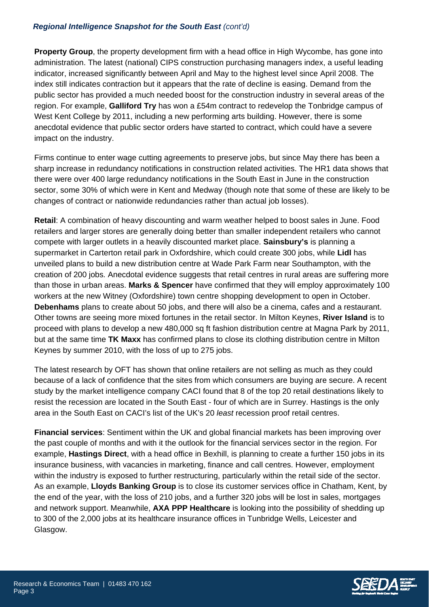### *Regional Intelligence Snapshot for the South East (cont'd)*

**Property Group**, the property development firm with a head office in High Wycombe, has gone into administration. The latest (national) CIPS construction purchasing managers index, a useful leading indicator, increased significantly between April and May to the highest level since April 2008. The index still indicates contraction but it appears that the rate of decline is easing. Demand from the public sector has provided a much needed boost for the construction industry in several areas of the region. For example, **Galliford Try** has won a £54m contract to redevelop the Tonbridge campus of West Kent College by 2011, including a new performing arts building. However, there is some anecdotal evidence that public sector orders have started to contract, which could have a severe impact on the industry.

Firms continue to enter wage cutting agreements to preserve jobs, but since May there has been a sharp increase in redundancy notifications in construction related activities. The HR1 data shows that there were over 400 large redundancy notifications in the South East in June in the construction sector, some 30% of which were in Kent and Medway (though note that some of these are likely to be changes of contract or nationwide redundancies rather than actual job losses).

**Retail**: A combination of heavy discounting and warm weather helped to boost sales in June. Food retailers and larger stores are generally doing better than smaller independent retailers who cannot compete with larger outlets in a heavily discounted market place. **Sainsbury's** is planning a supermarket in Carterton retail park in Oxfordshire, which could create 300 jobs, while **Lidl** has unveiled plans to build a new distribution centre at Wade Park Farm near Southampton, with the creation of 200 jobs*.* Anecdotal evidence suggests that retail centres in rural areas are suffering more than those in urban areas. **Marks & Spencer** have confirmed that they will employ approximately 100 workers at the new Witney (Oxfordshire) town centre shopping development to open in October. **Debenhams** plans to create about 50 jobs, and there will also be a cinema, cafes and a restaurant. Other towns are seeing more mixed fortunes in the retail sector. In Milton Keynes, **River Island** is to proceed with plans to develop a new 480,000 sq ft fashion distribution centre at Magna Park by 2011, but at the same time **TK Maxx** has confirmed plans to close its clothing distribution centre in Milton Keynes by summer 2010, with the loss of up to 275 jobs.

The latest research by OFT has shown that online retailers are not selling as much as they could because of a lack of confidence that the sites from which consumers are buying are secure. A recent study by the market intelligence company CACI found that 8 of the top 20 retail destinations likely to resist the recession are located in the South East - four of which are in Surrey. Hastings is the only area in the South East on CACI's list of the UK's 20 *least* recession proof retail centres.

**Financial services**: Sentiment within the UK and global financial markets has been improving over the past couple of months and with it the outlook for the financial services sector in the region. For example, **Hastings Direct**, with a head office in Bexhill, is planning to create a further 150 jobs in its insurance business, with vacancies in marketing, finance and call centres. However, employment within the industry is exposed to further restructuring, particularly within the retail side of the sector. As an example, **Lloyds Banking Group** is to close its customer services office in Chatham, Kent, by the end of the year, with the loss of 210 jobs, and a further 320 jobs will be lost in sales, mortgages and network support. Meanwhile, **AXA PPP Healthcare** is looking into the possibility of shedding up to 300 of the 2,000 jobs at its healthcare insurance offices in Tunbridge Wells, Leicester and Glasgow.

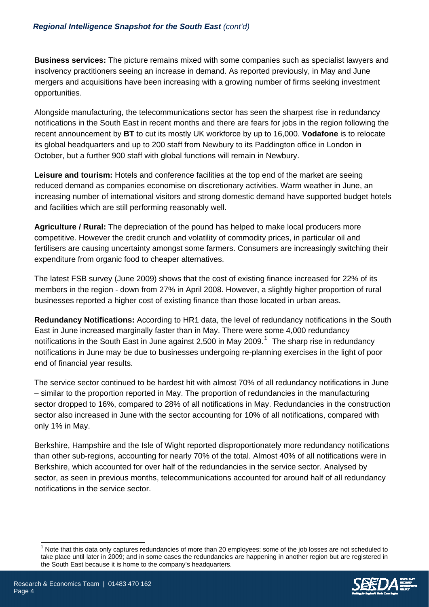**Business services:** The picture remains mixed with some companies such as specialist lawyers and insolvency practitioners seeing an increase in demand. As reported previously, in May and June mergers and acquisitions have been increasing with a growing number of firms seeking investment opportunities.

Alongside manufacturing, the telecommunications sector has seen the sharpest rise in redundancy notifications in the South East in recent months and there are fears for jobs in the region following the recent announcement by **BT** to cut its mostly UK workforce by up to 16,000. **Vodafone** is to relocate its global headquarters and up to 200 staff from Newbury to its Paddington office in London in October, but a further 900 staff with global functions will remain in Newbury.

**Leisure and tourism:** Hotels and conference facilities at the top end of the market are seeing reduced demand as companies economise on discretionary activities. Warm weather in June, an increasing number of international visitors and strong domestic demand have supported budget hotels and facilities which are still performing reasonably well.

**Agriculture / Rural:** The depreciation of the pound has helped to make local producers more competitive. However the credit crunch and volatility of commodity prices, in particular oil and fertilisers are causing uncertainty amongst some farmers. Consumers are increasingly switching their expenditure from organic food to cheaper alternatives.

The latest FSB survey (June 2009) shows that the cost of existing finance increased for 22% of its members in the region - down from 27% in April 2008. However, a slightly higher proportion of rural businesses reported a higher cost of existing finance than those located in urban areas.

**Redundancy Notifications:** According to HR1 data, the level of redundancy notifications in the South East in June increased marginally faster than in May. There were some 4,000 redundancy notifications in the South East in June against 2,500 in May 2009.<sup>[1](#page-3-0)</sup> The sharp rise in redundancy notifications in June may be due to businesses undergoing re-planning exercises in the light of poor end of financial year results.

The service sector continued to be hardest hit with almost 70% of all redundancy notifications in June – similar to the proportion reported in May. The proportion of redundancies in the manufacturing sector dropped to 16%, compared to 28% of all notifications in May. Redundancies in the construction sector also increased in June with the sector accounting for 10% of all notifications, compared with only 1% in May.

Berkshire, Hampshire and the Isle of Wight reported disproportionately more redundancy notifications than other sub-regions, accounting for nearly 70% of the total. Almost 40% of all notifications were in Berkshire, which accounted for over half of the redundancies in the service sector. Analysed by sector, as seen in previous months, telecommunications accounted for around half of all redundancy notifications in the service sector.

 $\overline{a}$ 

<span id="page-3-0"></span><sup>1</sup> Note that this data only captures redundancies of more than 20 employees; some of the job losses are not scheduled to take place until later in 2009; and in some cases the redundancies are happening in another region but are registered in the South East because it is home to the company's headquarters.